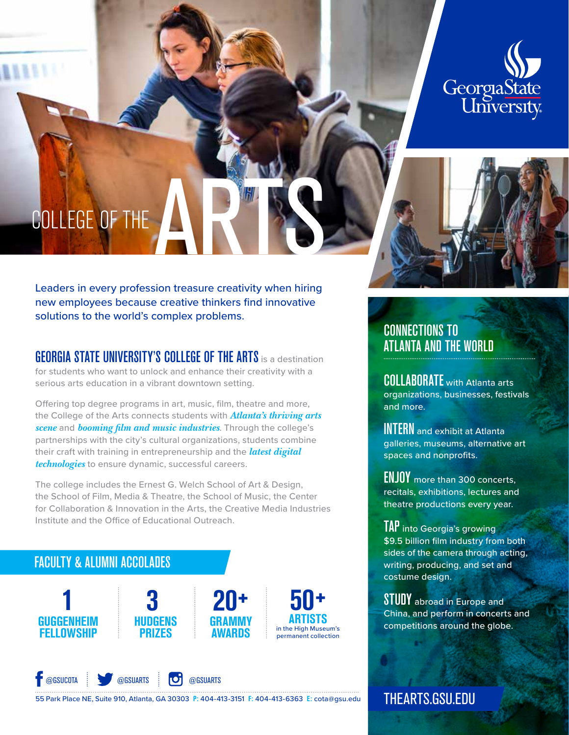

# COLLEGE OF THE ARTS

Leaders in every profession treasure creativity when hiring new employees because creative thinkers find innovative solutions to the world's complex problems.

# **GEORGIA STATE UNIVERSITY'S COLLEGE OF THE ARTS** is a destination

for students who want to unlock and enhance their creativity with a serious arts education in a vibrant downtown setting.

Offering top degree programs in art, music, film, theatre and more, the College of the Arts connects students with *Atlanta's thriving arts scene* and *booming film and music industries*. Through the college's partnerships with the city's cultural organizations, students combine their craft with training in entrepreneurship and the *latest digital technologies* to ensure dynamic, successful careers.

The college includes the Ernest G. Welch School of Art & Design, the School of Film, Media & Theatre, the School of Music, the Center for Collaboration & Innovation in the Arts, the Creative Media Industries Institute and the Office of Educational Outreach.

# FACULTY & ALUMNI ACCOLADES





**50**<sup>+</sup> **ARTISTS** 



55 Park Place NE, Suite 910, Atlanta, GA 30303 **P:** 404-413-3151 **F:** 404-413-6363 **E:** cota@gsu.edu

# **CONNECTIONS TO**<br>Atlanta <u>and the World</u>

COLLABORATE with Atlanta arts organizations, businesses, festivals and more.

**INTERN** and exhibit at Atlanta galleries, museums, alternative art spaces and nonprofits.

**ENJOY** more than 300 concerts, recitals, exhibitions, lectures and theatre productions every year.

TAP into Georgia's growing \$9.5 billion film industry from both sides of the camera through acting, writing, producing, and set and costume design.

STUDY abroad in Europe and China, and perform in concerts and competitions around the globe.

THEARTS.GSU.EDU